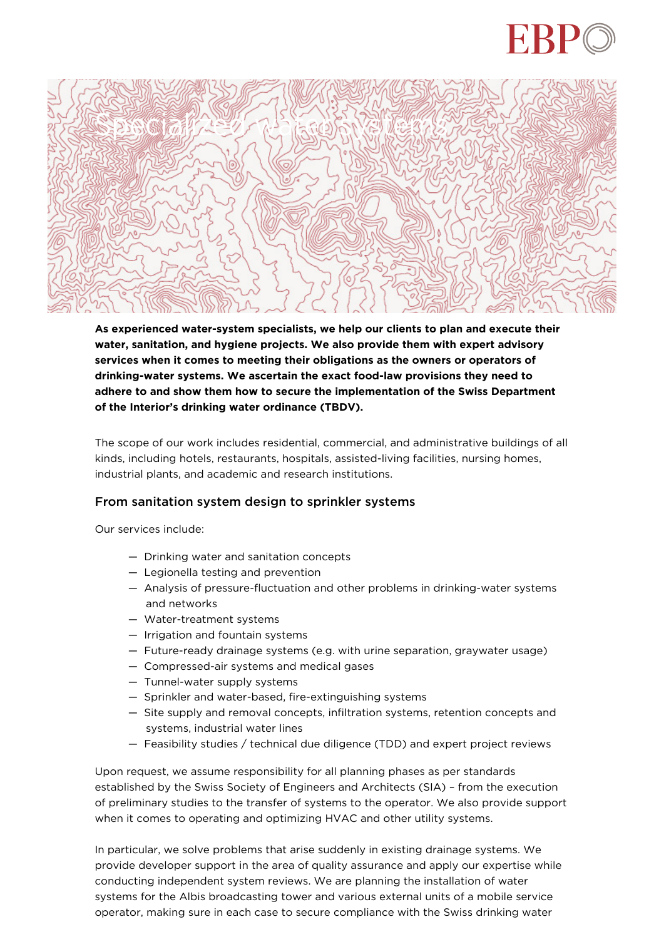



**As experienced water-system specialists, we help our clients to plan and execute their water, sanitation, and hygiene projects. We also provide them with expert advisory services when it comes to meeting their obligations as the owners or operators of drinking-water systems. We ascertain the exact food-law provisions they need to adhere to and show them how to secure the implementation of the Swiss Department of the Interior's drinking water ordinance (TBDV).**

The scope of our work includes residential, commercial, and administrative buildings of all kinds, including hotels, restaurants, hospitals, assisted-living facilities, nursing homes, industrial plants, and academic and research institutions.

## From sanitation system design to sprinkler systems

Our services include:

- Drinking water and sanitation concepts
- Legionella testing and prevention
- Analysis of pressure-fluctuation and other problems in drinking-water systems and networks
- Water-treatment systems
- Irrigation and fountain systems
- Future-ready drainage systems (e.g. with urine separation, graywater usage)
- Compressed-air systems and medical gases
- Tunnel-water supply systems
- Sprinkler and water-based, fire-extinguishing systems
- Site supply and removal concepts, infiltration systems, retention concepts and systems, industrial water lines
- Feasibility studies / technical due diligence (TDD) and expert project reviews

Upon request, we assume responsibility for all planning phases as per standards established by the Swiss Society of Engineers and Architects (SIA) – from the execution of preliminary studies to the transfer of systems to the operator. We also provide support when it comes to operating and optimizing HVAC and other utility systems.

In particular, we solve problems that arise suddenly in existing drainage systems. We provide developer support in the area of quality assurance and apply our expertise while conducting independent system reviews. We are planning the installation of water systems for the Albis broadcasting tower and various external units of a mobile service operator, making sure in each case to secure compliance with the Swiss drinking water